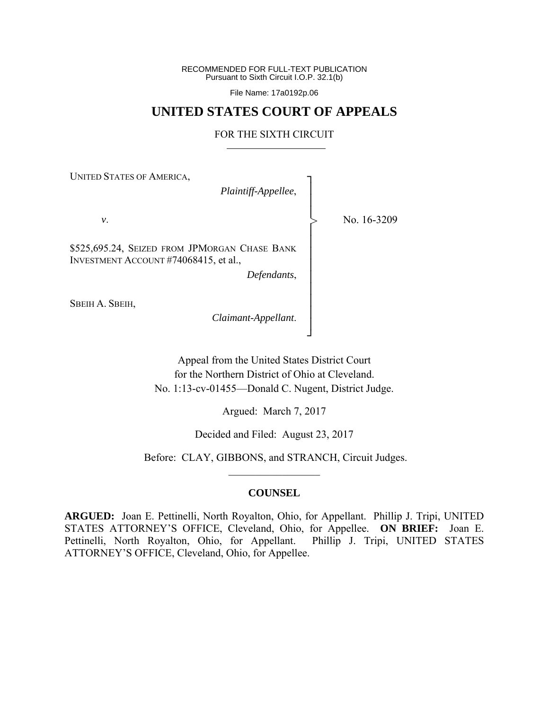RECOMMENDED FOR FULL-TEXT PUBLICATION Pursuant to Sixth Circuit I.O.P. 32.1(b)

File Name: 17a0192p.06

## **UNITED STATES COURT OF APPEALS**

#### FOR THE SIXTH CIRCUIT

┐ │ │ │ │ │ │ │ │ │ │ │ │ ┘

>

UNITED STATES OF AMERICA,

*Plaintiff-Appellee*,

 *v*.

\$525,695.24, SEIZED FROM JPMORGAN CHASE BANK INVESTMENT ACCOUNT #74068415, et al.,

*Defendants*,

SBEIH A. SBEIH,

*Claimant-Appellant*.

No. 16-3209

Appeal from the United States District Court for the Northern District of Ohio at Cleveland. No. 1:13-cv-01455—Donald C. Nugent, District Judge.

Argued: March 7, 2017

Decided and Filed: August 23, 2017

 Before: CLAY, GIBBONS, and STRANCH, Circuit Judges.  $\frac{1}{2}$  ,  $\frac{1}{2}$  ,  $\frac{1}{2}$  ,  $\frac{1}{2}$  ,  $\frac{1}{2}$  ,  $\frac{1}{2}$  ,  $\frac{1}{2}$  ,  $\frac{1}{2}$  ,  $\frac{1}{2}$ 

#### **COUNSEL**

**ARGUED:** Joan E. Pettinelli, North Royalton, Ohio, for Appellant. Phillip J. Tripi, UNITED STATES ATTORNEY'S OFFICE, Cleveland, Ohio, for Appellee. **ON BRIEF:** Joan E. Pettinelli, North Royalton, Ohio, for Appellant. Phillip J. Tripi, UNITED STATES ATTORNEY'S OFFICE, Cleveland, Ohio, for Appellee.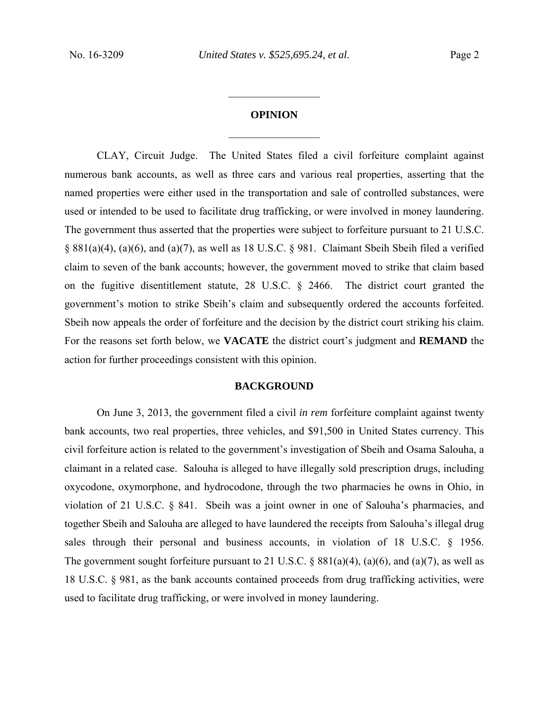# **OPINION**   $\frac{1}{2}$

 $\frac{1}{2}$ 

CLAY, Circuit Judge.The United States filed a civil forfeiture complaint against numerous bank accounts, as well as three cars and various real properties, asserting that the named properties were either used in the transportation and sale of controlled substances, were used or intended to be used to facilitate drug trafficking, or were involved in money laundering. The government thus asserted that the properties were subject to forfeiture pursuant to 21 U.S.C. § 881(a)(4), (a)(6), and (a)(7), as well as 18 U.S.C. § 981. Claimant Sbeih Sbeih filed a verified claim to seven of the bank accounts; however, the government moved to strike that claim based on the fugitive disentitlement statute, 28 U.S.C. § 2466. The district court granted the government's motion to strike Sbeih's claim and subsequently ordered the accounts forfeited. Sbeih now appeals the order of forfeiture and the decision by the district court striking his claim. For the reasons set forth below, we **VACATE** the district court's judgment and **REMAND** the action for further proceedings consistent with this opinion.

#### **BACKGROUND**

On June 3, 2013, the government filed a civil *in rem* forfeiture complaint against twenty bank accounts, two real properties, three vehicles, and \$91,500 in United States currency. This civil forfeiture action is related to the government's investigation of Sbeih and Osama Salouha, a claimant in a related case. Salouha is alleged to have illegally sold prescription drugs, including oxycodone, oxymorphone, and hydrocodone, through the two pharmacies he owns in Ohio, in violation of 21 U.S.C. § 841. Sbeih was a joint owner in one of Salouha's pharmacies, and together Sbeih and Salouha are alleged to have laundered the receipts from Salouha's illegal drug sales through their personal and business accounts, in violation of 18 U.S.C. § 1956. The government sought forfeiture pursuant to 21 U.S.C. § 881(a)(4), (a)(6), and (a)(7), as well as 18 U.S.C. § 981, as the bank accounts contained proceeds from drug trafficking activities, were used to facilitate drug trafficking, or were involved in money laundering.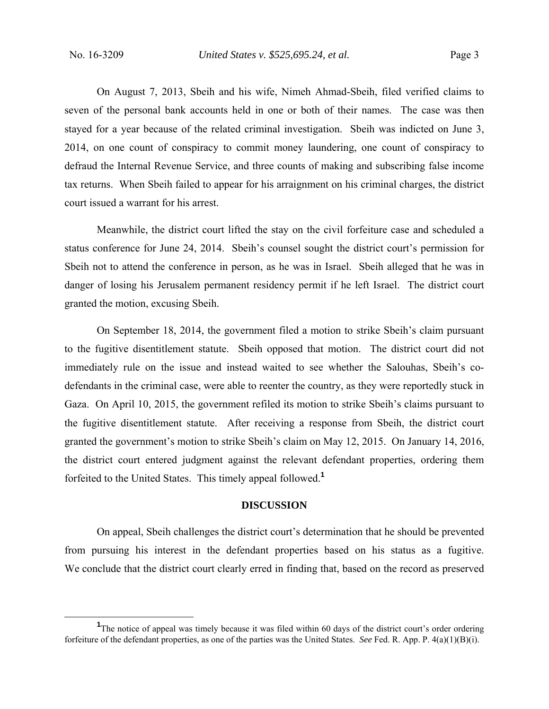On August 7, 2013, Sbeih and his wife, Nimeh Ahmad-Sbeih, filed verified claims to seven of the personal bank accounts held in one or both of their names. The case was then stayed for a year because of the related criminal investigation. Sbeih was indicted on June 3, 2014, on one count of conspiracy to commit money laundering, one count of conspiracy to defraud the Internal Revenue Service, and three counts of making and subscribing false income tax returns. When Sbeih failed to appear for his arraignment on his criminal charges, the district court issued a warrant for his arrest.

 Meanwhile, the district court lifted the stay on the civil forfeiture case and scheduled a status conference for June 24, 2014. Sbeih's counsel sought the district court's permission for Sbeih not to attend the conference in person, as he was in Israel. Sbeih alleged that he was in danger of losing his Jerusalem permanent residency permit if he left Israel. The district court granted the motion, excusing Sbeih.

 On September 18, 2014, the government filed a motion to strike Sbeih's claim pursuant to the fugitive disentitlement statute. Sbeih opposed that motion. The district court did not immediately rule on the issue and instead waited to see whether the Salouhas, Sbeih's codefendants in the criminal case, were able to reenter the country, as they were reportedly stuck in Gaza. On April 10, 2015, the government refiled its motion to strike Sbeih's claims pursuant to the fugitive disentitlement statute. After receiving a response from Sbeih, the district court granted the government's motion to strike Sbeih's claim on May 12, 2015. On January 14, 2016, the district court entered judgment against the relevant defendant properties, ordering them forfeited to the United States. This timely appeal followed.**<sup>1</sup>**

#### **DISCUSSION**

On appeal, Sbeih challenges the district court's determination that he should be prevented from pursuing his interest in the defendant properties based on his status as a fugitive. We conclude that the district court clearly erred in finding that, based on the record as preserved

<sup>&</sup>lt;u>1</u> <sup>1</sup>The notice of appeal was timely because it was filed within 60 days of the district court's order ordering forfeiture of the defendant properties, as one of the parties was the United States. *See* Fed. R. App. P. 4(a)(1)(B)(i).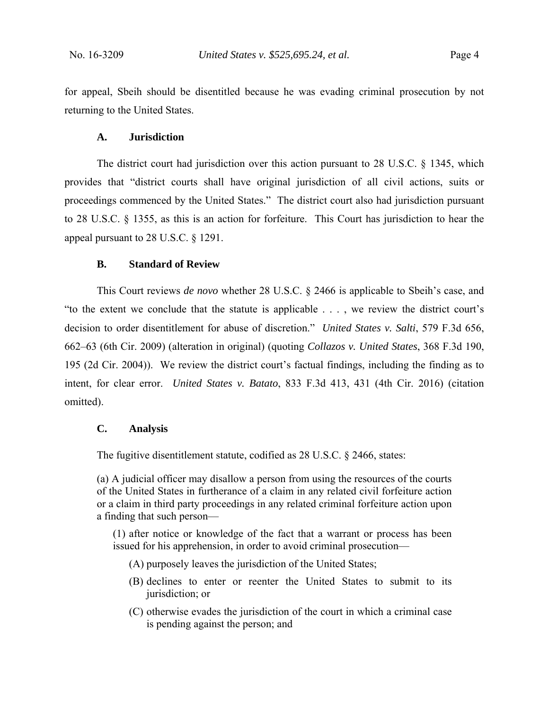for appeal, Sbeih should be disentitled because he was evading criminal prosecution by not returning to the United States.

#### **A. Jurisdiction**

The district court had jurisdiction over this action pursuant to 28 U.S.C. § 1345, which provides that "district courts shall have original jurisdiction of all civil actions, suits or proceedings commenced by the United States." The district court also had jurisdiction pursuant to 28 U.S.C. § 1355, as this is an action for forfeiture. This Court has jurisdiction to hear the appeal pursuant to 28 U.S.C. § 1291.

#### **B. Standard of Review**

This Court reviews *de novo* whether 28 U.S.C. § 2466 is applicable to Sbeih's case, and "to the extent we conclude that the statute is applicable . . . , we review the district court's decision to order disentitlement for abuse of discretion." *United States v. Salti*, 579 F.3d 656, 662–63 (6th Cir. 2009) (alteration in original) (quoting *Collazos v. United States*, 368 F.3d 190, 195 (2d Cir. 2004)). We review the district court's factual findings, including the finding as to intent, for clear error. *United States v. Batato*, 833 F.3d 413, 431 (4th Cir. 2016) (citation omitted).

#### **C. Analysis**

The fugitive disentitlement statute, codified as 28 U.S.C. § 2466, states:

(a) A judicial officer may disallow a person from using the resources of the courts of the United States in furtherance of a claim in any related civil forfeiture action or a claim in third party proceedings in any related criminal forfeiture action upon a finding that such person—

(1) after notice or knowledge of the fact that a warrant or process has been issued for his apprehension, in order to avoid criminal prosecution—

- (A) purposely leaves the jurisdiction of the United States;
- (B) declines to enter or reenter the United States to submit to its jurisdiction; or
- (C) otherwise evades the jurisdiction of the court in which a criminal case is pending against the person; and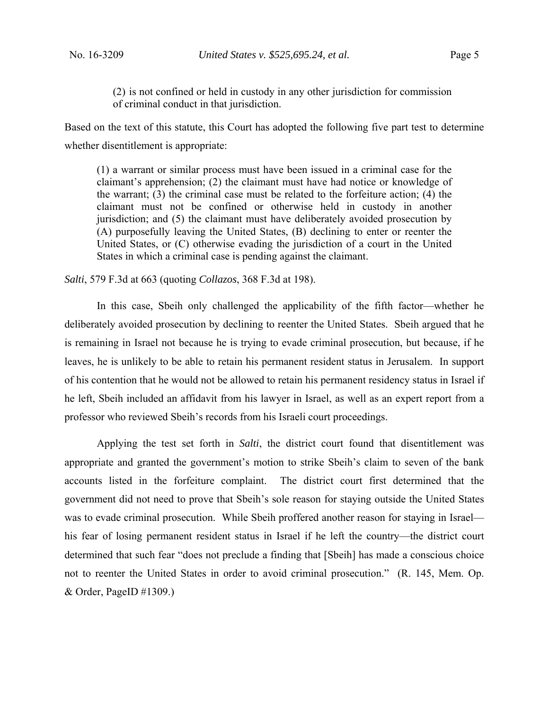(2) is not confined or held in custody in any other jurisdiction for commission of criminal conduct in that jurisdiction.

Based on the text of this statute, this Court has adopted the following five part test to determine whether disentitlement is appropriate:

(1) a warrant or similar process must have been issued in a criminal case for the claimant's apprehension; (2) the claimant must have had notice or knowledge of the warrant; (3) the criminal case must be related to the forfeiture action; (4) the claimant must not be confined or otherwise held in custody in another jurisdiction; and (5) the claimant must have deliberately avoided prosecution by (A) purposefully leaving the United States, (B) declining to enter or reenter the United States, or (C) otherwise evading the jurisdiction of a court in the United States in which a criminal case is pending against the claimant.

*Salti*, 579 F.3d at 663 (quoting *Collazos*, 368 F.3d at 198).

 In this case, Sbeih only challenged the applicability of the fifth factor—whether he deliberately avoided prosecution by declining to reenter the United States. Sbeih argued that he is remaining in Israel not because he is trying to evade criminal prosecution, but because, if he leaves, he is unlikely to be able to retain his permanent resident status in Jerusalem. In support of his contention that he would not be allowed to retain his permanent residency status in Israel if he left, Sbeih included an affidavit from his lawyer in Israel, as well as an expert report from a professor who reviewed Sbeih's records from his Israeli court proceedings.

Applying the test set forth in *Salti*, the district court found that disentitlement was appropriate and granted the government's motion to strike Sbeih's claim to seven of the bank accounts listed in the forfeiture complaint. The district court first determined that the government did not need to prove that Sbeih's sole reason for staying outside the United States was to evade criminal prosecution. While Sbeih proffered another reason for staying in Israel his fear of losing permanent resident status in Israel if he left the country—the district court determined that such fear "does not preclude a finding that [Sbeih] has made a conscious choice not to reenter the United States in order to avoid criminal prosecution." (R. 145, Mem. Op.  $&$  Order, PageID #1309.)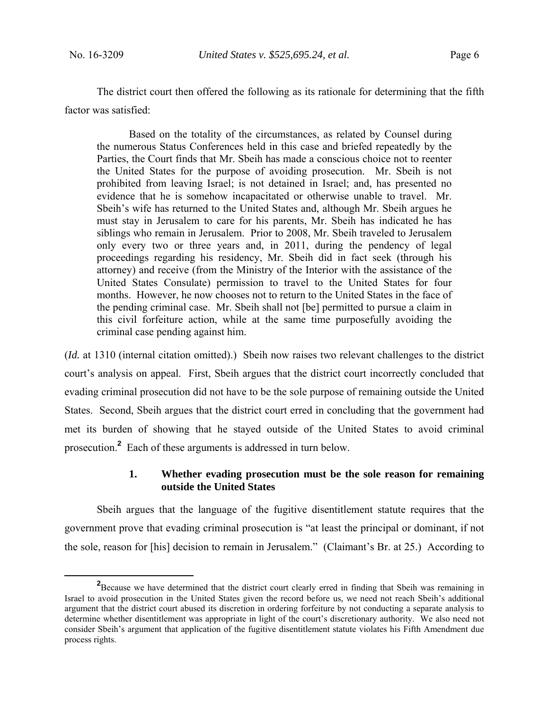The district court then offered the following as its rationale for determining that the fifth factor was satisfied:

Based on the totality of the circumstances, as related by Counsel during the numerous Status Conferences held in this case and briefed repeatedly by the Parties, the Court finds that Mr. Sbeih has made a conscious choice not to reenter the United States for the purpose of avoiding prosecution. Mr. Sbeih is not prohibited from leaving Israel; is not detained in Israel; and, has presented no evidence that he is somehow incapacitated or otherwise unable to travel. Mr. Sbeih's wife has returned to the United States and, although Mr. Sbeih argues he must stay in Jerusalem to care for his parents, Mr. Sbeih has indicated he has siblings who remain in Jerusalem. Prior to 2008, Mr. Sbeih traveled to Jerusalem only every two or three years and, in 2011, during the pendency of legal proceedings regarding his residency, Mr. Sbeih did in fact seek (through his attorney) and receive (from the Ministry of the Interior with the assistance of the United States Consulate) permission to travel to the United States for four months. However, he now chooses not to return to the United States in the face of the pending criminal case. Mr. Sbeih shall not [be] permitted to pursue a claim in this civil forfeiture action, while at the same time purposefully avoiding the criminal case pending against him.

(*Id.* at 1310 (internal citation omitted).) Sbeih now raises two relevant challenges to the district court's analysis on appeal. First, Sbeih argues that the district court incorrectly concluded that evading criminal prosecution did not have to be the sole purpose of remaining outside the United States. Second, Sbeih argues that the district court erred in concluding that the government had met its burden of showing that he stayed outside of the United States to avoid criminal prosecution.**<sup>2</sup>** Each of these arguments is addressed in turn below.

## **1. Whether evading prosecution must be the sole reason for remaining outside the United States**

Sbeih argues that the language of the fugitive disentitlement statute requires that the government prove that evading criminal prosecution is "at least the principal or dominant, if not the sole, reason for [his] decision to remain in Jerusalem." (Claimant's Br. at 25.) According to

**<sup>2</sup>** <sup>2</sup>Because we have determined that the district court clearly erred in finding that Sbeih was remaining in Israel to avoid prosecution in the United States given the record before us, we need not reach Sbeih's additional argument that the district court abused its discretion in ordering forfeiture by not conducting a separate analysis to determine whether disentitlement was appropriate in light of the court's discretionary authority. We also need not consider Sbeih's argument that application of the fugitive disentitlement statute violates his Fifth Amendment due process rights.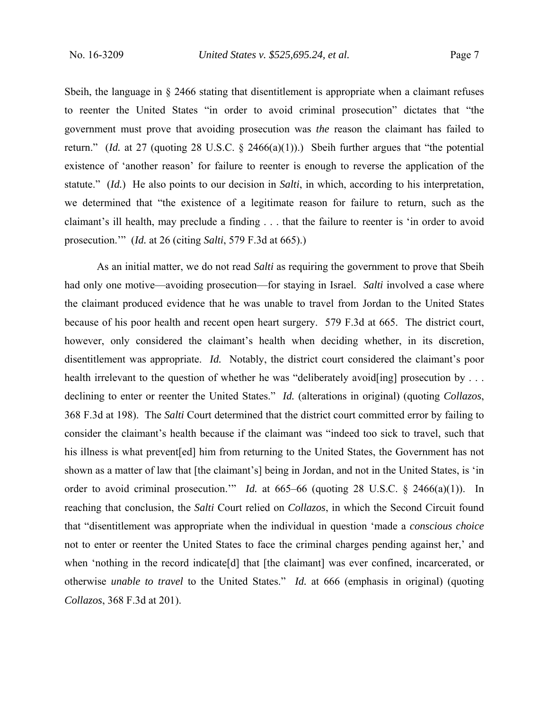Sbeih, the language in  $\S$  2466 stating that disentitlement is appropriate when a claimant refuses to reenter the United States "in order to avoid criminal prosecution" dictates that "the government must prove that avoiding prosecution was *the* reason the claimant has failed to return." (*Id.* at 27 (quoting 28 U.S.C. § 2466(a)(1)).) Sbeih further argues that "the potential existence of 'another reason' for failure to reenter is enough to reverse the application of the statute." (*Id.*) He also points to our decision in *Salti*, in which, according to his interpretation, we determined that "the existence of a legitimate reason for failure to return, such as the claimant's ill health, may preclude a finding . . . that the failure to reenter is 'in order to avoid prosecution.'" (*Id.* at 26 (citing *Salti*, 579 F.3d at 665).)

As an initial matter, we do not read *Salti* as requiring the government to prove that Sbeih had only one motive—avoiding prosecution—for staying in Israel. *Salti* involved a case where the claimant produced evidence that he was unable to travel from Jordan to the United States because of his poor health and recent open heart surgery. 579 F.3d at 665. The district court, however, only considered the claimant's health when deciding whether, in its discretion, disentitlement was appropriate. *Id.* Notably, the district court considered the claimant's poor health irrelevant to the question of whether he was "deliberately avoid[ing] prosecution by ... declining to enter or reenter the United States." *Id.* (alterations in original) (quoting *Collazos*, 368 F.3d at 198). The *Salti* Court determined that the district court committed error by failing to consider the claimant's health because if the claimant was "indeed too sick to travel, such that his illness is what prevent [ed] him from returning to the United States, the Government has not shown as a matter of law that [the claimant's] being in Jordan, and not in the United States, is 'in order to avoid criminal prosecution.'" *Id.* at 665–66 (quoting 28 U.S.C. § 2466(a)(1)). In reaching that conclusion, the *Salti* Court relied on *Collazos*, in which the Second Circuit found that "disentitlement was appropriate when the individual in question 'made a *conscious choice* not to enter or reenter the United States to face the criminal charges pending against her,' and when 'nothing in the record indicate [d] that [the claimant] was ever confined, incarcerated, or otherwise *unable to travel* to the United States." *Id.* at 666 (emphasis in original) (quoting *Collazos*, 368 F.3d at 201).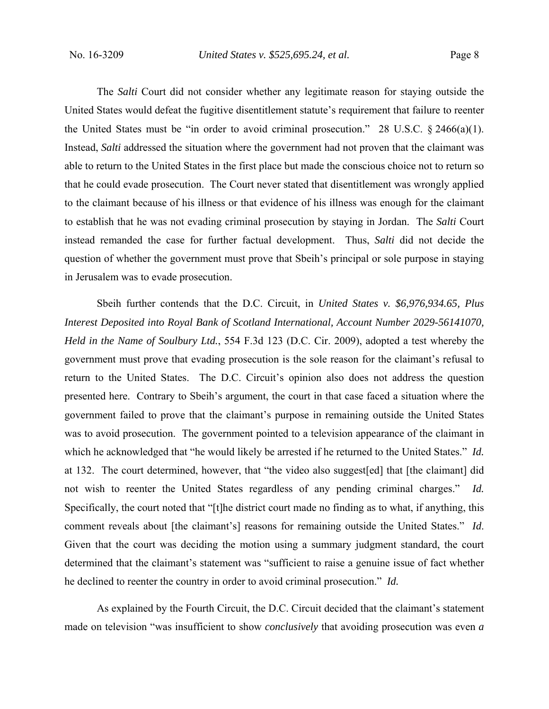The *Salti* Court did not consider whether any legitimate reason for staying outside the United States would defeat the fugitive disentitlement statute's requirement that failure to reenter the United States must be "in order to avoid criminal prosecution." 28 U.S.C.  $\S$  2466(a)(1). Instead, *Salti* addressed the situation where the government had not proven that the claimant was able to return to the United States in the first place but made the conscious choice not to return so that he could evade prosecution. The Court never stated that disentitlement was wrongly applied to the claimant because of his illness or that evidence of his illness was enough for the claimant to establish that he was not evading criminal prosecution by staying in Jordan. The *Salti* Court instead remanded the case for further factual development. Thus, *Salti* did not decide the question of whether the government must prove that Sbeih's principal or sole purpose in staying in Jerusalem was to evade prosecution.

 Sbeih further contends that the D.C. Circuit, in *United States v. \$6,976,934.65, Plus Interest Deposited into Royal Bank of Scotland International, Account Number 2029-56141070, Held in the Name of Soulbury Ltd.*, 554 F.3d 123 (D.C. Cir. 2009), adopted a test whereby the government must prove that evading prosecution is the sole reason for the claimant's refusal to return to the United States. The D.C. Circuit's opinion also does not address the question presented here. Contrary to Sbeih's argument, the court in that case faced a situation where the government failed to prove that the claimant's purpose in remaining outside the United States was to avoid prosecution. The government pointed to a television appearance of the claimant in which he acknowledged that "he would likely be arrested if he returned to the United States." *Id.* at 132. The court determined, however, that "the video also suggest[ed] that [the claimant] did not wish to reenter the United States regardless of any pending criminal charges." *Id.* Specifically, the court noted that "[t]he district court made no finding as to what, if anything, this comment reveals about [the claimant's] reasons for remaining outside the United States." *Id*. Given that the court was deciding the motion using a summary judgment standard, the court determined that the claimant's statement was "sufficient to raise a genuine issue of fact whether he declined to reenter the country in order to avoid criminal prosecution." *Id.*

As explained by the Fourth Circuit, the D.C. Circuit decided that the claimant's statement made on television "was insufficient to show *conclusively* that avoiding prosecution was even *a*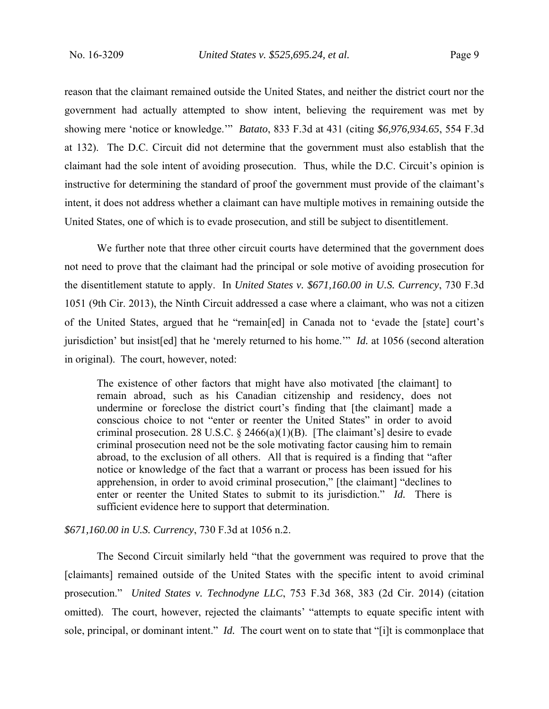reason that the claimant remained outside the United States, and neither the district court nor the government had actually attempted to show intent, believing the requirement was met by showing mere 'notice or knowledge.'" *Batato*, 833 F.3d at 431 (citing *\$6,976,934.65*, 554 F.3d at 132). The D.C. Circuit did not determine that the government must also establish that the claimant had the sole intent of avoiding prosecution. Thus, while the D.C. Circuit's opinion is instructive for determining the standard of proof the government must provide of the claimant's intent, it does not address whether a claimant can have multiple motives in remaining outside the United States, one of which is to evade prosecution, and still be subject to disentitlement.

We further note that three other circuit courts have determined that the government does not need to prove that the claimant had the principal or sole motive of avoiding prosecution for the disentitlement statute to apply. In *United States v. \$671,160.00 in U.S. Currency*, 730 F.3d 1051 (9th Cir. 2013), the Ninth Circuit addressed a case where a claimant, who was not a citizen of the United States, argued that he "remain[ed] in Canada not to 'evade the [state] court's jurisdiction' but insist[ed] that he 'merely returned to his home.'" *Id.* at 1056 (second alteration in original). The court, however, noted:

The existence of other factors that might have also motivated [the claimant] to remain abroad, such as his Canadian citizenship and residency, does not undermine or foreclose the district court's finding that [the claimant] made a conscious choice to not "enter or reenter the United States" in order to avoid criminal prosecution. 28 U.S.C.  $\S$  2466(a)(1)(B). [The claimant's] desire to evade criminal prosecution need not be the sole motivating factor causing him to remain abroad, to the exclusion of all others. All that is required is a finding that "after notice or knowledge of the fact that a warrant or process has been issued for his apprehension, in order to avoid criminal prosecution," [the claimant] "declines to enter or reenter the United States to submit to its jurisdiction." *Id.* There is sufficient evidence here to support that determination.

#### *\$671,160.00 in U.S. Currency*, 730 F.3d at 1056 n.2.

 The Second Circuit similarly held "that the government was required to prove that the [claimants] remained outside of the United States with the specific intent to avoid criminal prosecution." *United States v. Technodyne LLC*, 753 F.3d 368, 383 (2d Cir. 2014) (citation omitted). The court, however, rejected the claimants' "attempts to equate specific intent with sole, principal, or dominant intent." *Id.* The court went on to state that "[i]t is commonplace that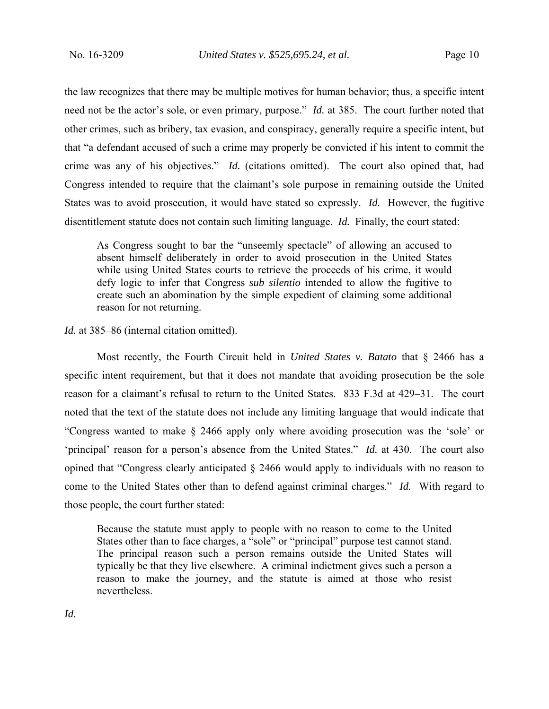the law recognizes that there may be multiple motives for human behavior; thus, a specific intent need not be the actor's sole, or even primary, purpose." *Id.* at 385. The court further noted that other crimes, such as bribery, tax evasion, and conspiracy, generally require a specific intent, but that "a defendant accused of such a crime may properly be convicted if his intent to commit the crime was any of his objectives." *Id.* (citations omitted). The court also opined that, had Congress intended to require that the claimant's sole purpose in remaining outside the United States was to avoid prosecution, it would have stated so expressly. *Id.* However, the fugitive disentitlement statute does not contain such limiting language. *Id.* Finally, the court stated:

As Congress sought to bar the "unseemly spectacle" of allowing an accused to absent himself deliberately in order to avoid prosecution in the United States while using United States courts to retrieve the proceeds of his crime, it would defy logic to infer that Congress *sub silentio* intended to allow the fugitive to create such an abomination by the simple expedient of claiming some additional reason for not returning.

*Id.* at 385–86 (internal citation omitted).

 Most recently, the Fourth Circuit held in *United States v. Batato* that § 2466 has a specific intent requirement, but that it does not mandate that avoiding prosecution be the sole reason for a claimant's refusal to return to the United States. 833 F.3d at 429–31. The court noted that the text of the statute does not include any limiting language that would indicate that "Congress wanted to make § 2466 apply only where avoiding prosecution was the 'sole' or 'principal' reason for a person's absence from the United States." *Id.* at 430. The court also opined that "Congress clearly anticipated § 2466 would apply to individuals with no reason to come to the United States other than to defend against criminal charges." *Id.* With regard to those people, the court further stated:

Because the statute must apply to people with no reason to come to the United States other than to face charges, a "sole" or "principal" purpose test cannot stand. The principal reason such a person remains outside the United States will typically be that they live elsewhere. A criminal indictment gives such a person a reason to make the journey, and the statute is aimed at those who resist nevertheless.

*Id.*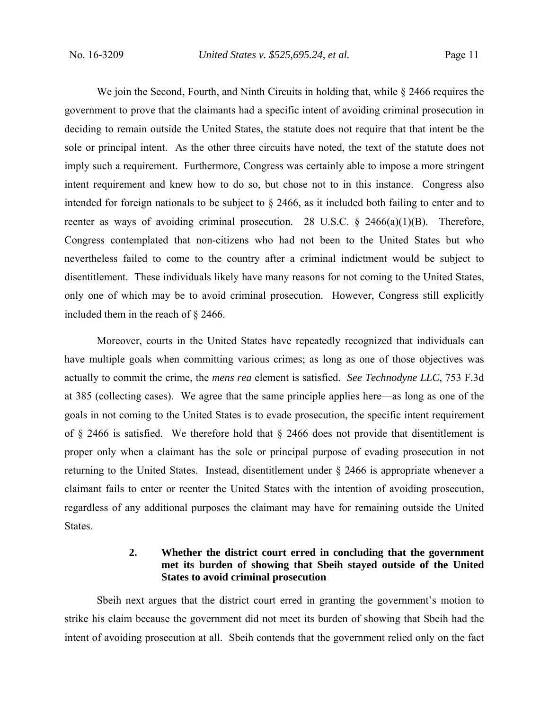We join the Second, Fourth, and Ninth Circuits in holding that, while  $\S$  2466 requires the government to prove that the claimants had a specific intent of avoiding criminal prosecution in deciding to remain outside the United States, the statute does not require that that intent be the sole or principal intent. As the other three circuits have noted, the text of the statute does not imply such a requirement. Furthermore, Congress was certainly able to impose a more stringent intent requirement and knew how to do so, but chose not to in this instance. Congress also intended for foreign nationals to be subject to § 2466, as it included both failing to enter and to reenter as ways of avoiding criminal prosecution. 28 U.S.C.  $\S$  2466(a)(1)(B). Therefore, Congress contemplated that non-citizens who had not been to the United States but who nevertheless failed to come to the country after a criminal indictment would be subject to disentitlement. These individuals likely have many reasons for not coming to the United States, only one of which may be to avoid criminal prosecution. However, Congress still explicitly included them in the reach of § 2466.

Moreover, courts in the United States have repeatedly recognized that individuals can have multiple goals when committing various crimes; as long as one of those objectives was actually to commit the crime, the *mens rea* element is satisfied. *See Technodyne LLC*, 753 F.3d at 385 (collecting cases). We agree that the same principle applies here—as long as one of the goals in not coming to the United States is to evade prosecution, the specific intent requirement of  $\S$  2466 is satisfied. We therefore hold that  $\S$  2466 does not provide that disentitlement is proper only when a claimant has the sole or principal purpose of evading prosecution in not returning to the United States. Instead, disentitlement under § 2466 is appropriate whenever a claimant fails to enter or reenter the United States with the intention of avoiding prosecution, regardless of any additional purposes the claimant may have for remaining outside the United States.

## **2. Whether the district court erred in concluding that the government met its burden of showing that Sbeih stayed outside of the United States to avoid criminal prosecution**

Sbeih next argues that the district court erred in granting the government's motion to strike his claim because the government did not meet its burden of showing that Sbeih had the intent of avoiding prosecution at all. Sbeih contends that the government relied only on the fact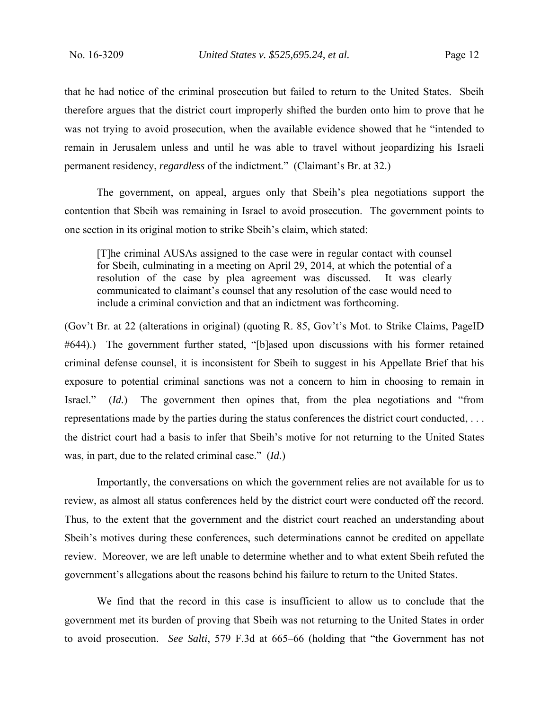that he had notice of the criminal prosecution but failed to return to the United States. Sbeih therefore argues that the district court improperly shifted the burden onto him to prove that he was not trying to avoid prosecution, when the available evidence showed that he "intended to remain in Jerusalem unless and until he was able to travel without jeopardizing his Israeli permanent residency, *regardless* of the indictment." (Claimant's Br. at 32.)

The government, on appeal, argues only that Sbeih's plea negotiations support the contention that Sbeih was remaining in Israel to avoid prosecution. The government points to one section in its original motion to strike Sbeih's claim, which stated:

[T]he criminal AUSAs assigned to the case were in regular contact with counsel for Sbeih, culminating in a meeting on April 29, 2014, at which the potential of a resolution of the case by plea agreement was discussed. It was clearly communicated to claimant's counsel that any resolution of the case would need to include a criminal conviction and that an indictment was forthcoming.

(Gov't Br. at 22 (alterations in original) (quoting R. 85, Gov't's Mot. to Strike Claims, PageID #644).) The government further stated, "[b]ased upon discussions with his former retained criminal defense counsel, it is inconsistent for Sbeih to suggest in his Appellate Brief that his exposure to potential criminal sanctions was not a concern to him in choosing to remain in Israel." (*Id.*) The government then opines that, from the plea negotiations and "from representations made by the parties during the status conferences the district court conducted, . . . the district court had a basis to infer that Sbeih's motive for not returning to the United States was, in part, due to the related criminal case." (*Id.*)

 Importantly, the conversations on which the government relies are not available for us to review, as almost all status conferences held by the district court were conducted off the record. Thus, to the extent that the government and the district court reached an understanding about Sbeih's motives during these conferences, such determinations cannot be credited on appellate review. Moreover, we are left unable to determine whether and to what extent Sbeih refuted the government's allegations about the reasons behind his failure to return to the United States.

 We find that the record in this case is insufficient to allow us to conclude that the government met its burden of proving that Sbeih was not returning to the United States in order to avoid prosecution. *See Salti*, 579 F.3d at 665–66 (holding that "the Government has not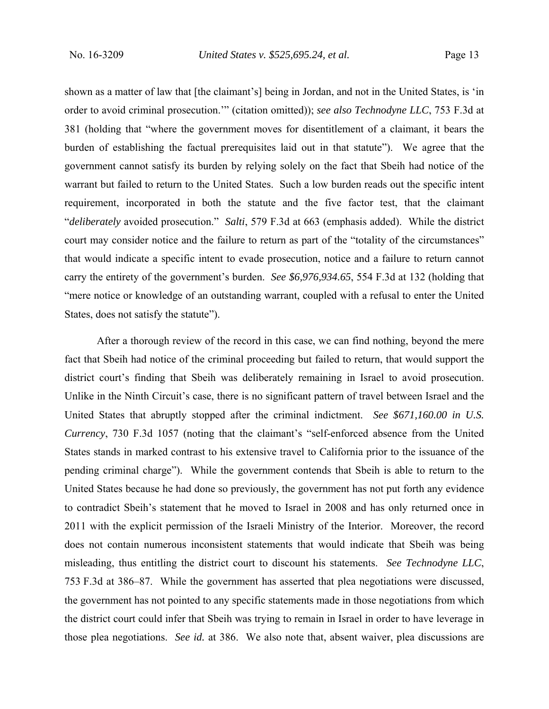shown as a matter of law that [the claimant's] being in Jordan, and not in the United States, is 'in order to avoid criminal prosecution.'" (citation omitted)); *see also Technodyne LLC*, 753 F.3d at 381 (holding that "where the government moves for disentitlement of a claimant, it bears the burden of establishing the factual prerequisites laid out in that statute"). We agree that the government cannot satisfy its burden by relying solely on the fact that Sbeih had notice of the warrant but failed to return to the United States. Such a low burden reads out the specific intent requirement, incorporated in both the statute and the five factor test, that the claimant "*deliberately* avoided prosecution." *Salti*, 579 F.3d at 663 (emphasis added). While the district court may consider notice and the failure to return as part of the "totality of the circumstances" that would indicate a specific intent to evade prosecution, notice and a failure to return cannot carry the entirety of the government's burden. *See \$6,976,934.65*, 554 F.3d at 132 (holding that "mere notice or knowledge of an outstanding warrant, coupled with a refusal to enter the United States, does not satisfy the statute").

 After a thorough review of the record in this case, we can find nothing, beyond the mere fact that Sbeih had notice of the criminal proceeding but failed to return, that would support the district court's finding that Sbeih was deliberately remaining in Israel to avoid prosecution. Unlike in the Ninth Circuit's case, there is no significant pattern of travel between Israel and the United States that abruptly stopped after the criminal indictment. *See \$671,160.00 in U.S. Currency*, 730 F.3d 1057 (noting that the claimant's "self-enforced absence from the United States stands in marked contrast to his extensive travel to California prior to the issuance of the pending criminal charge"). While the government contends that Sbeih is able to return to the United States because he had done so previously, the government has not put forth any evidence to contradict Sbeih's statement that he moved to Israel in 2008 and has only returned once in 2011 with the explicit permission of the Israeli Ministry of the Interior. Moreover, the record does not contain numerous inconsistent statements that would indicate that Sbeih was being misleading, thus entitling the district court to discount his statements. *See Technodyne LLC*, 753 F.3d at 386–87.While the government has asserted that plea negotiations were discussed, the government has not pointed to any specific statements made in those negotiations from which the district court could infer that Sbeih was trying to remain in Israel in order to have leverage in those plea negotiations. *See id.* at 386. We also note that, absent waiver, plea discussions are